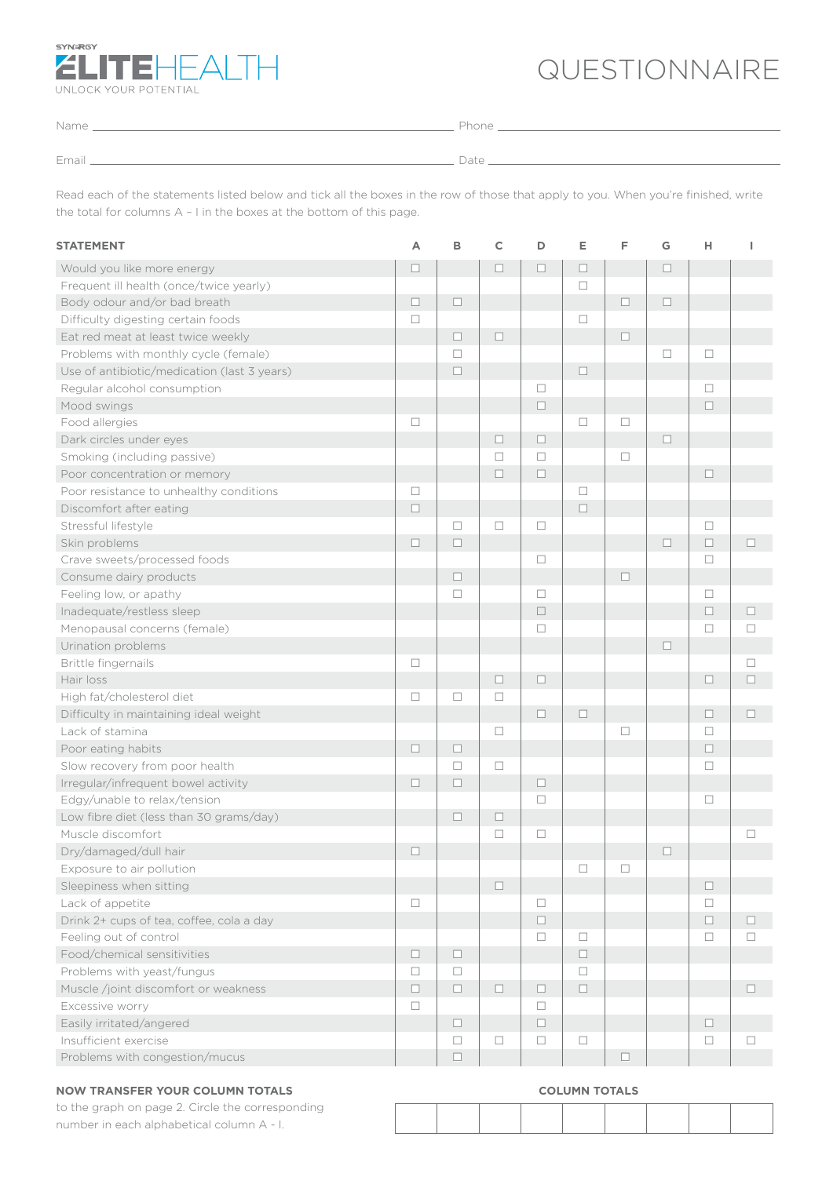

## QUESTIONNAIRE

| Name  | Phone . |
|-------|---------|
|       |         |
|       |         |
| Email | Date    |
|       |         |

Read each of the statements listed below and tick all the boxes in the row of those that apply to you. When you're finished, write the total for columns A – I in the boxes at the bottom of this page.

| <b>STATEMENT</b>                            | Α      | в      | $\mathsf{C}$ | D      | E      | F      | G      | н      | ı      |
|---------------------------------------------|--------|--------|--------------|--------|--------|--------|--------|--------|--------|
| Would you like more energy                  | $\Box$ |        | $\Box$       | $\Box$ | $\Box$ |        | $\Box$ |        |        |
| Frequent ill health (once/twice yearly)     |        |        |              |        | $\Box$ |        |        |        |        |
| Body odour and/or bad breath                | $\Box$ | $\Box$ |              |        |        | $\Box$ | $\Box$ |        |        |
| Difficulty digesting certain foods          | $\Box$ |        |              |        | $\Box$ |        |        |        |        |
| Eat red meat at least twice weekly          |        | п      | $\Box$       |        |        | □      |        |        |        |
| Problems with monthly cycle (female)        |        | $\Box$ |              |        |        |        | $\Box$ | □      |        |
| Use of antibiotic/medication (last 3 years) |        | $\Box$ |              |        | $\Box$ |        |        |        |        |
| Regular alcohol consumption                 |        |        |              | $\Box$ |        |        |        | $\Box$ |        |
| Mood swings                                 |        |        |              | $\Box$ |        |        |        | $\Box$ |        |
| Food allergies                              | $\Box$ |        |              |        | $\Box$ | $\Box$ |        |        |        |
| Dark circles under eyes                     |        |        | $\Box$       | $\Box$ |        |        | $\Box$ |        |        |
| Smoking (including passive)                 |        |        | $\Box$       | $\Box$ |        | $\Box$ |        |        |        |
| Poor concentration or memory                |        |        | $\Box$       | $\Box$ |        |        |        | $\Box$ |        |
| Poor resistance to unhealthy conditions     | $\Box$ |        |              |        | $\Box$ |        |        |        |        |
| Discomfort after eating                     | $\Box$ |        |              |        | $\Box$ |        |        |        |        |
| Stressful lifestyle                         |        | □      | $\Box$       | $\Box$ |        |        |        | □      |        |
| Skin problems                               | $\Box$ | $\Box$ |              |        |        |        | $\Box$ | $\Box$ | $\Box$ |
| Crave sweets/processed foods                |        |        |              | $\Box$ |        |        |        | □      |        |
| Consume dairy products                      |        | $\Box$ |              |        |        | $\Box$ |        |        |        |
| Feeling low, or apathy                      |        | □      |              | $\Box$ |        |        |        | $\Box$ |        |
| Inadequate/restless sleep                   |        |        |              | $\Box$ |        |        |        | $\Box$ | $\Box$ |
| Menopausal concerns (female)                |        |        |              | $\Box$ |        |        |        | □      | $\Box$ |
| Urination problems                          |        |        |              |        |        |        | $\Box$ |        |        |
| Brittle fingernails                         | $\Box$ |        |              |        |        |        |        |        | $\Box$ |
| Hair loss                                   |        |        | $\Box$       | $\Box$ |        |        |        | $\Box$ | $\Box$ |
| High fat/cholesterol diet                   | $\Box$ | □      | □            |        |        |        |        |        |        |
| Difficulty in maintaining ideal weight      |        |        |              | $\Box$ | П      |        |        | $\Box$ | П      |
| Lack of stamina                             |        |        | $\Box$       |        |        | $\Box$ |        | □      |        |
| Poor eating habits                          | $\Box$ | $\Box$ |              |        |        |        |        | $\Box$ |        |
| Slow recovery from poor health              |        | □      | $\Box$       |        |        |        |        | □      |        |
| Irregular/infrequent bowel activity         | $\Box$ | $\Box$ |              | $\Box$ |        |        |        |        |        |
| Edgy/unable to relax/tension                |        |        |              | $\Box$ |        |        |        | $\Box$ |        |
| Low fibre diet (less than 30 grams/day)     |        | $\Box$ | $\Box$       |        |        |        |        |        |        |
| Muscle discomfort                           |        |        | $\Box$       | $\Box$ |        |        |        |        | $\Box$ |
| Dry/damaged/dull hair                       | $\Box$ |        |              |        |        |        | $\Box$ |        |        |
| Exposure to air pollution                   |        |        |              |        | □      | □      |        |        |        |
| Sleepiness when sitting                     |        |        | $\Box$       |        |        |        |        | $\Box$ |        |
| Lack of appetite                            | $\Box$ |        |              | □      |        |        |        | $\Box$ |        |
| Drink 2+ cups of tea, coffee, cola a day    |        |        |              | $\Box$ |        |        |        | $\Box$ | $\Box$ |
| Feeling out of control                      |        |        |              | $\Box$ | $\Box$ |        |        | □      | $\Box$ |
| Food/chemical sensitivities                 | $\Box$ | $\Box$ |              |        | $\Box$ |        |        |        |        |
| Problems with yeast/fungus                  | $\Box$ | $\Box$ |              |        | $\Box$ |        |        |        |        |
| Muscle /joint discomfort or weakness        | $\Box$ | $\Box$ | $\Box$       | $\Box$ | $\Box$ |        |        |        | $\Box$ |
| Excessive worry                             | $\Box$ |        |              | $\Box$ |        |        |        |        |        |
| Easily irritated/angered                    |        | $\Box$ |              | $\Box$ |        |        |        | $\Box$ |        |
| Insufficient exercise                       |        | □      | $\Box$       | $\Box$ | $\Box$ |        |        | $\Box$ | $\Box$ |
| Problems with congestion/mucus              |        | $\Box$ |              |        |        | □      |        |        |        |

### **NOW TRANSFER YOUR COLUMN TOTALS**

to the graph on page 2. Circle the corresponding number in each alphabetical column A - I.

#### **COLUMN TOTALS**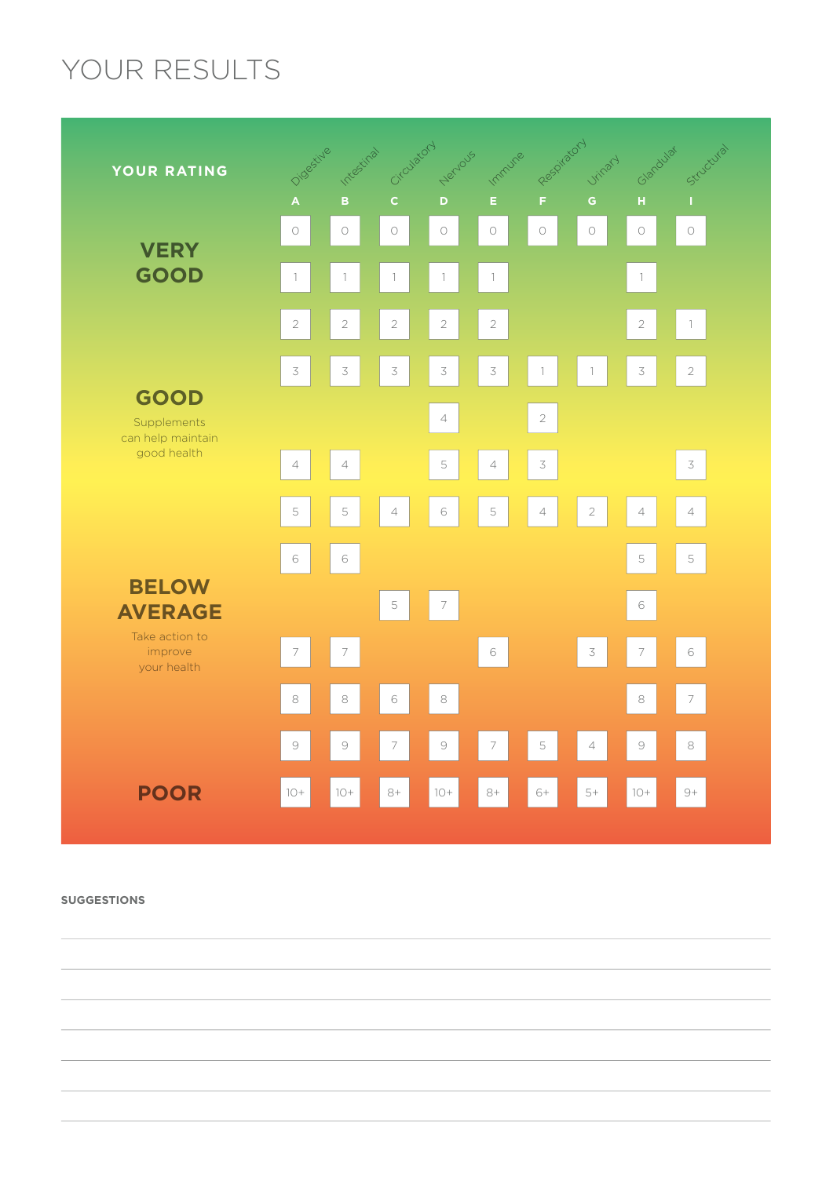# YOUR RESULTS



**SUGGESTIONS**